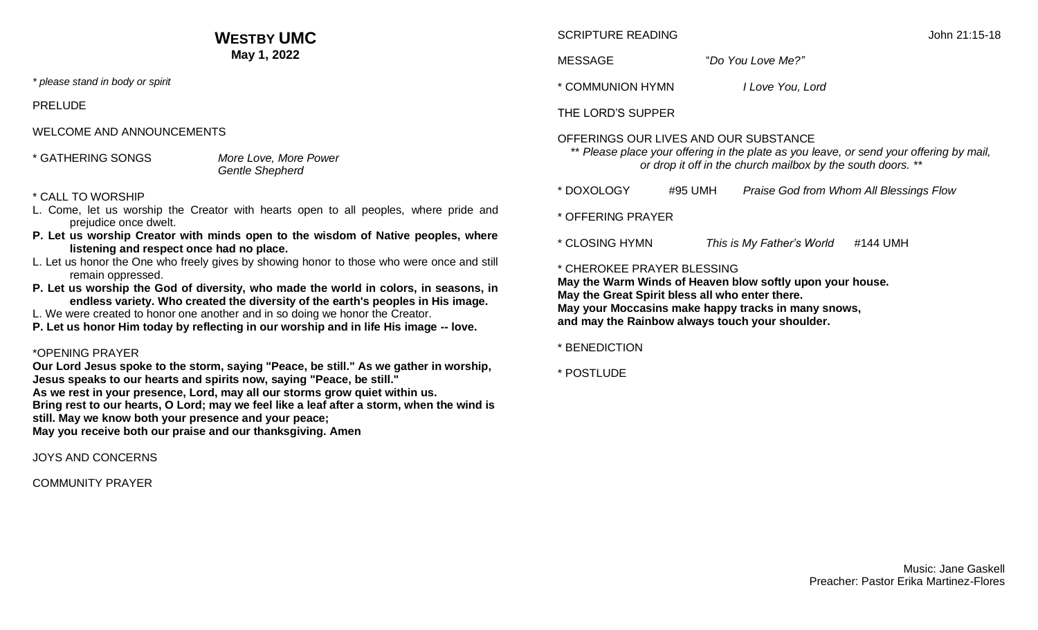# **WESTBY UMC May 1, 2022**

*\* please stand in body or spirit*

PRELUDE

WELCOME AND ANNOUNCEMENTS

\* GATHERING SONGS *More Love, More Power*

# *Gentle Shepherd*

#### \* CALL TO WORSHIP

- L. Come, let us worship the Creator with hearts open to all peoples, where pride and prejudice once dwelt.
- **P. Let us worship Creator with minds open to the wisdom of Native peoples, where listening and respect once had no place.**
- L. Let us honor the One who freely gives by showing honor to those who were once and still remain oppressed.
- **P. Let us worship the God of diversity, who made the world in colors, in seasons, in endless variety. Who created the diversity of the earth's peoples in His image.**
- L. We were created to honor one another and in so doing we honor the Creator.
- **P. Let us honor Him today by reflecting in our worship and in life His image -- love.**

# \*OPENING PRAYER

**Our Lord Jesus spoke to the storm, saying "Peace, be still." As we gather in worship, Jesus speaks to our hearts and spirits now, saying "Peace, be still."**

**As we rest in your presence, Lord, may all our storms grow quiet within us.**

**Bring rest to our hearts, O Lord; may we feel like a leaf after a storm, when the wind is still. May we know both your presence and your peace;**

**May you receive both our praise and our thanksgiving. Amen**

JOYS AND CONCERNS

COMMUNITY PRAYER

# SCRIPTURE READING **SCRIPTURE READING**

MESSAGE "*Do You Love Me?"*

\* COMMUNION HYMN *I Love You, Lord*

THE LORD'S SUPPER

# OFFERINGS OUR LIVES AND OUR SUBSTANCE

\*\* Please place your offering in the plate as you leave, or send your offering by mail, *or drop it off in the church mailbox by the south doors. \*\**

- \* DOXOLOGY #95 UMH *Praise God from Whom All Blessings Flow*
- \* OFFERING PRAYER
- \* CLOSING HYMN *This is My Father's World* #144 UMH

## \* CHEROKEE PRAYER BLESSING

**May the Warm Winds of Heaven blow softly upon your house. May the Great Spirit bless all who enter there. May your Moccasins make happy tracks in many snows, and may the Rainbow always touch your shoulder.**

\* BENEDICTION

\* POSTLUDE

Music: Jane Gaskell Preacher: Pastor Erika Martinez-Flores